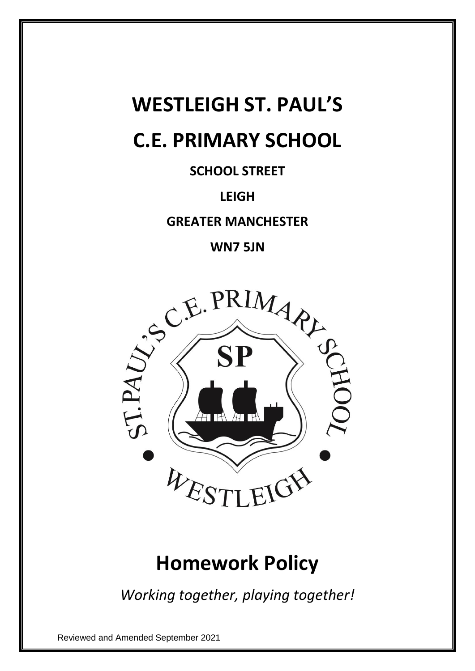# **WESTLEIGH ST. PAUL'S C.E. PRIMARY SCHOOL**

**SCHOOL STREET**

### **LEIGH**

**GREATER MANCHESTER**



## **Homework Policy**

*Working together, playing together!*

Reviewed and Amended September 2021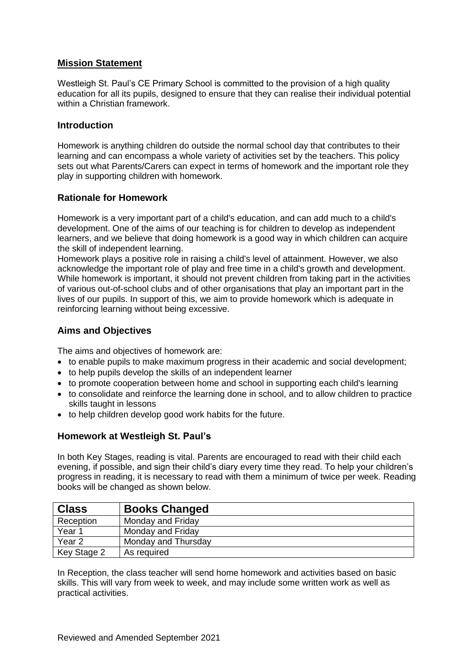#### **Mission Statement**

Westleigh St. Paul's CE Primary School is committed to the provision of a high quality education for all its pupils, designed to ensure that they can realise their individual potential within a Christian framework.

#### **Introduction**

Homework is anything children do outside the normal school day that contributes to their learning and can encompass a whole variety of activities set by the teachers. This policy sets out what Parents/Carers can expect in terms of homework and the important role they play in supporting children with homework.

#### **Rationale for Homework**

Homework is a very important part of a child's education, and can add much to a child's development. One of the aims of our teaching is for children to develop as independent learners, and we believe that doing homework is a good way in which children can acquire the skill of independent learning.

Homework plays a positive role in raising a child's level of attainment. However, we also acknowledge the important role of play and free time in a child's growth and development. While homework is important, it should not prevent children from taking part in the activities of various out-of-school clubs and of other organisations that play an important part in the lives of our pupils. In support of this, we aim to provide homework which is adequate in reinforcing learning without being excessive.

#### **Aims and Objectives**

The aims and objectives of homework are:

- to enable pupils to make maximum progress in their academic and social development;
- to help pupils develop the skills of an independent learner
- to promote cooperation between home and school in supporting each child's learning
- to consolidate and reinforce the learning done in school, and to allow children to practice skills taught in lessons
- to help children develop good work habits for the future.

#### **Homework at Westleigh St. Paul's**

In both Key Stages, reading is vital. Parents are encouraged to read with their child each evening, if possible, and sign their child's diary every time they read. To help your children's progress in reading, it is necessary to read with them a minimum of twice per week. Reading books will be changed as shown below.

| <b>Class</b>      | <b>Books Changed</b> |
|-------------------|----------------------|
| Reception         | Monday and Friday    |
| Year 1            | Monday and Friday    |
| Year <sub>2</sub> | Monday and Thursday  |
| Key Stage 2       | As required          |

In Reception, the class teacher will send home homework and activities based on basic skills. This will vary from week to week, and may include some written work as well as practical activities.